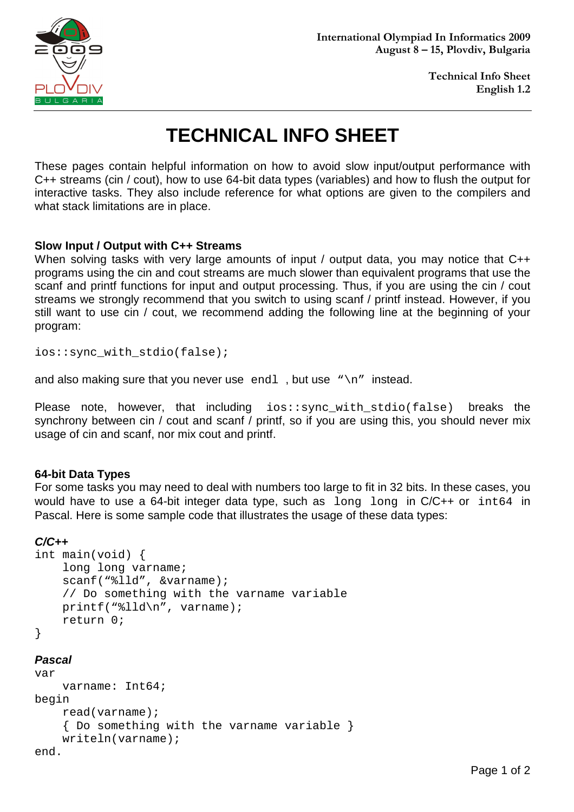

**Technical Info Sheet English 1.2**

# **TECHNICAL INFO SHEET**

These pages contain helpful information on how to avoid slow input/output performance with C++ streams (cin / cout), how to use 64-bit data types (variables) and how to flush the output for interactive tasks. They also include reference for what options are given to the compilers and what stack limitations are in place.

## **Slow Input / Output with C++ Streams**

When solving tasks with very large amounts of input / output data, you may notice that C++ programs using the cin and cout streams are much slower than equivalent programs that use the scanf and printf functions for input and output processing. Thus, if you are using the cin / cout streams we strongly recommend that you switch to using scanf / printf instead. However, if you still want to use cin / cout, we recommend adding the following line at the beginning of your program:

ios::sync\_with\_stdio(false);

and also making sure that you never use endl, but use " $\n\cdot$ n" instead.

Please note, however, that including ios::sync\_with\_stdio(false) breaks the synchrony between cin / cout and scanf / printf, so if you are using this, you should never mix usage of cin and scanf, nor mix cout and printf.

#### **64-bit Data Types**

For some tasks you may need to deal with numbers too large to fit in 32 bits. In these cases, you would have to use a 64-bit integer data type, such as long long in C/C++ or int64 in Pascal. Here is some sample code that illustrates the usage of these data types:

#### **C/C++**

```
int main(void) { 
     long long varname; 
     scanf("%lld", &varname); 
     // Do something with the varname variable 
     printf("%lld\n", varname); 
     return 0; 
}
```
## **Pascal**

```
var 
     varname: Int64; 
begin 
     read(varname); 
     { Do something with the varname variable } 
     writeln(varname); 
end.
```